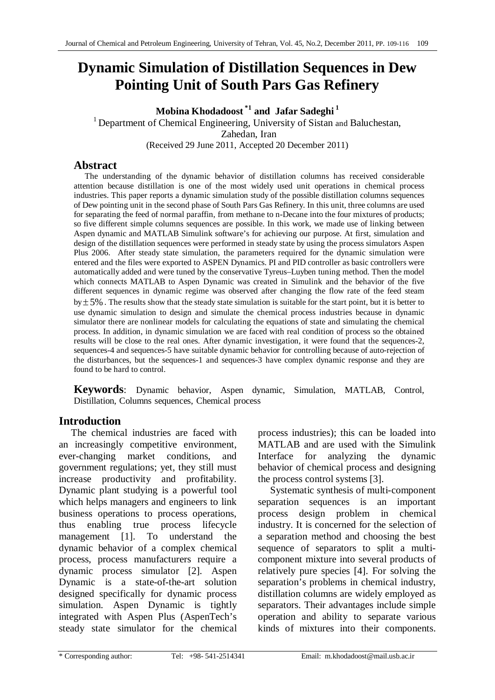# **Dynamic Simulation of Distillation Sequences in Dew Pointing Unit of South Pars Gas Refinery**

**Mobina Khodadoost \*1 and Jafar Sadeghi 1**

<sup>1</sup> Department of Chemical Engineering, University of Sistan and Baluchestan, Zahedan, Iran (Received 29 June 2011, Accepted 20 December 2011)

# **Abstract**

The understanding of the dynamic behavior of distillation columns has received considerable attention because distillation is one of the most widely used unit operations in chemical process industries. This paper reports a dynamic simulation study of the possible distillation columns sequences of Dew pointing unit in the second phase of South Pars Gas Refinery. In this unit, three columns are used for separating the feed of normal paraffin, from methane to n-Decane into the four mixtures of products; so five different simple columns sequences are possible. In this work, we made use of linking between Aspen dynamic and MATLAB Simulink software's for achieving our purpose. At first, simulation and design of the distillation sequences were performed in steady state by using the process simulators Aspen Plus 2006. After steady state simulation, the parameters required for the dynamic simulation were entered and the files were exported to ASPEN Dynamics. PI and PID controller as basic controllers were automatically added and were tuned by the conservative Tyreus–Luyben tuning method. Then the model which connects MATLAB to Aspen Dynamic was created in Simulink and the behavior of the five different sequences in dynamic regime was observed after changing the flow rate of the feed steam  $by \pm 5\%$ . The results show that the steady state simulation is suitable for the start point, but it is better to use dynamic simulation to design and simulate the chemical process industries because in dynamic simulator there are nonlinear models for calculating the equations of state and simulating the chemical process. In addition, in dynamic simulation we are faced with real condition of process so the obtained results will be close to the real ones. After dynamic investigation, it were found that the sequences-2, sequences-4 and sequences-5 have suitable dynamic behavior for controlling because of auto-rejection of the disturbances, but the sequences-1 and sequences-3 have complex dynamic response and they are found to be hard to control.

**Keywords**: Dynamic behavior, Aspen dynamic, Simulation, MATLAB, Control, Distillation, Columns sequences, Chemical process

# **Introduction**

The chemical industries are faced with an increasingly competitive environment, ever-changing market conditions, and government regulations; yet, they still must increase productivity and profitability. Dynamic plant studying is a powerful tool which helps managers and engineers to link business operations to process operations, thus enabling true process lifecycle management [1]. To understand the dynamic behavior of a complex chemical process, process manufacturers require a dynamic process simulator [2]. Aspen Dynamic is a state-of-the-art solution designed specifically for dynamic process simulation. Aspen Dynamic is tightly integrated with Aspen Plus (AspenTech's steady state simulator for the chemical process industries); this can be loaded into MATLAB and are used with the Simulink Interface for analyzing the dynamic behavior of chemical process and designing the process control systems [3].

Systematic synthesis of multi-component separation sequences is an important process design problem in chemical industry. It is concerned for the selection of a separation method and choosing the best sequence of separators to split a multicomponent mixture into several products of relatively pure species [4]. For solving the separation's problems in chemical industry, distillation columns are widely employed as separators. Their advantages include simple operation and ability to separate various kinds of mixtures into their components.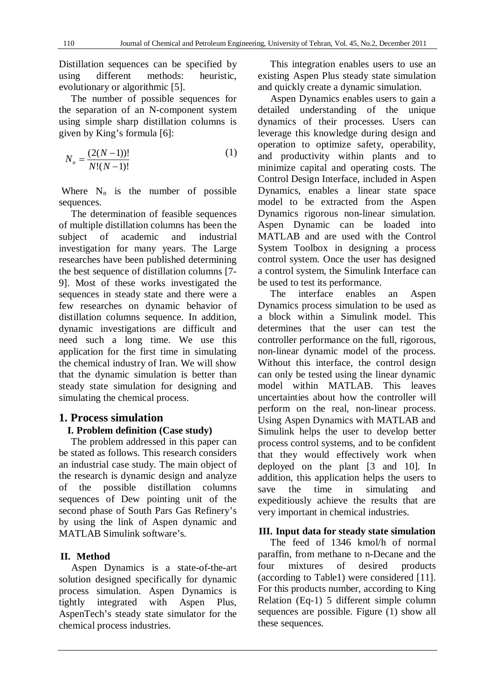Distillation sequences can be specified by using different methods: heuristic, evolutionary or algorithmic [5].

The number of possible sequences for the separation of an N-component system using simple sharp distillation columns is given by King's formula [6]:

$$
N_n = \frac{(2(N-1))!}{N!(N-1)!}
$$
 (1)

Where  $N_n$  is the number of possible sequences.

The determination of feasible sequences of multiple distillation columns has been the subject of academic and industrial investigation for many years. The Large researches have been published determining the best sequence of distillation columns [7- 9]. Most of these works investigated the sequences in steady state and there were a few researches on dynamic behavior of distillation columns sequence. In addition, dynamic investigations are difficult and need such a long time. We use this application for the first time in simulating the chemical industry of Iran. We will show that the dynamic simulation is better than steady state simulation for designing and simulating the chemical process.

# **1. Process simulation I. Problem definition (Case study)**

The problem addressed in this paper can be stated as follows. This research considers an industrial case study. The main object of the research is dynamic design and analyze of the possible distillation columns sequences of Dew pointing unit of the second phase of South Pars Gas Refinery's by using the link of Aspen dynamic and MATLAB Simulink software's.

### **II. Method**

Aspen Dynamics is a state-of-the-art solution designed specifically for dynamic process simulation. Aspen Dynamics is tightly integrated with Aspen Plus, AspenTech's steady state simulator for the chemical process industries.

This integration enables users to use an existing Aspen Plus steady state simulation and quickly create a dynamic simulation.

Aspen Dynamics enables users to gain a detailed understanding of the unique dynamics of their processes. Users can leverage this knowledge during design and operation to optimize safety, operability, and productivity within plants and to minimize capital and operating costs. The Control Design Interface, included in Aspen Dynamics, enables a linear state space model to be extracted from the Aspen Dynamics rigorous non-linear simulation. Aspen Dynamic can be loaded into MATLAB and are used with the Control System Toolbox in designing a process control system. Once the user has designed a control system, the Simulink Interface can be used to test its performance.

The interface enables an Aspen Dynamics process simulation to be used as a block within a Simulink model. This determines that the user can test the controller performance on the full, rigorous, non-linear dynamic model of the process. Without this interface, the control design can only be tested using the linear dynamic model within MATLAB. This leaves uncertainties about how the controller will perform on the real, non-linear process. Using Aspen Dynamics with MATLAB and Simulink helps the user to develop better process control systems, and to be confident that they would effectively work when deployed on the plant [3 and 10]. In addition, this application helps the users to save the time in simulating and expeditiously achieve the results that are very important in chemical industries.

### **III. Input data for steady state simulation**

The feed of 1346 kmol/h of normal paraffin, from methane to n-Decane and the four mixtures of desired products (according to Table1) were considered [11]. For this products number, according to King Relation (Eq-1) 5 different simple column sequences are possible. Figure (1) show all these sequences.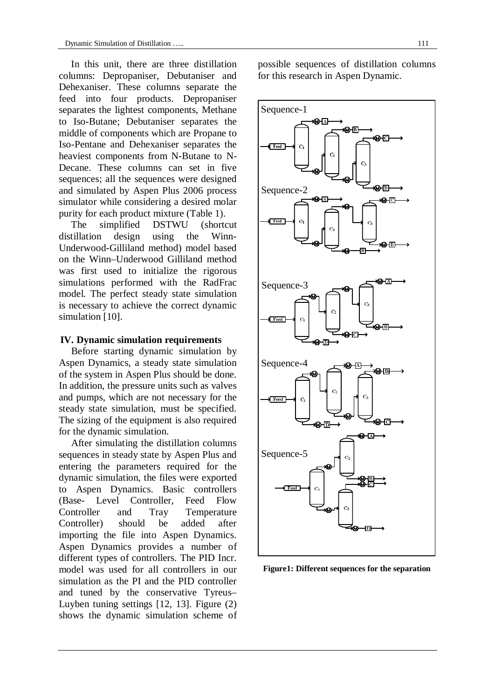In this unit, there are three distillation columns: Depropaniser, Debutaniser and Dehexaniser. These columns separate the feed into four products. Depropaniser separates the lightest components, Methane to Iso-Butane; Debutaniser separates the middle of components which are Propane to Iso-Pentane and Dehexaniser separates the heaviest components from N-Butane to N-Decane. These columns can set in five sequences; all the sequences were designed and simulated by Aspen Plus 2006 process simulator while considering a desired molar purity for each product mixture (Table 1).

The simplified DSTWU (shortcut distillation design using the Winn-Underwood-Gilliland method) model based on the Winn–Underwood Gilliland method was first used to initialize the rigorous simulations performed with the RadFrac model. The perfect steady state simulation is necessary to achieve the correct dynamic simulation [10].

#### **IV. Dynamic simulation requirements**

Before starting dynamic simulation by Aspen Dynamics, a steady state simulation of the system in Aspen Plus should be done. In addition, the pressure units such as valves and pumps, which are not necessary for the steady state simulation, must be specified. The sizing of the equipment is also required for the dynamic simulation.

After simulating the distillation columns sequences in steady state by Aspen Plus and entering the parameters required for the dynamic simulation, the files were exported to Aspen Dynamics. Basic controllers (Base- Level Controller, Feed Flow Controller and Tray Temperature Controller) should be added after importing the file into Aspen Dynamics. Aspen Dynamics provides a number of different types of controllers. The PID Incr. model was used for all controllers in our simulation as the PI and the PID controller and tuned by the conservative Tyreus– Luyben tuning settings [12, 13]. Figure (2) shows the dynamic simulation scheme of possible sequences of distillation columns for this research in Aspen Dynamic.



**Figure1: Different sequences for the separation**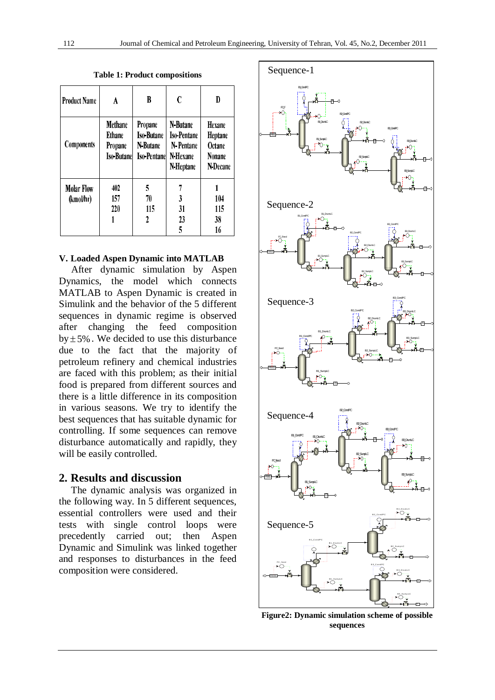| <b>Product Name</b>            | A                                                                | B                                                               | C                                                                    | D<br><b>Hexane</b><br><b>Heptane</b><br>Octane<br>Nonane<br>N-Decane |  |
|--------------------------------|------------------------------------------------------------------|-----------------------------------------------------------------|----------------------------------------------------------------------|----------------------------------------------------------------------|--|
| <b>Components</b>              | <b>Methane</b><br><b>Ethane</b><br>Propane<br><b>Iso-Butanel</b> | Propane<br><b>Iso-Butane</b><br>N-Butane<br><b>Iso-Pentanel</b> | N-Butane<br><b>Iso-Pentane</b><br>N-Pentane<br>N-Hexane<br>N-Heptane |                                                                      |  |
| <b>Molar Flow</b><br>(kmol/hr) | 402<br>157<br>220                                                | 5<br>70<br>115<br>2                                             | 7<br>3<br>31<br>23<br>5                                              | 104<br>115<br>38<br>16                                               |  |

**Table 1: Product compositions**

### **V. Loaded Aspen Dynamic into MATLAB**

After dynamic simulation by Aspen Dynamics, the model which connects MATLAB to Aspen Dynamic is created in Simulink and the behavior of the 5 different sequences in dynamic regime is observed after changing the feed composition  $by \pm 5\%$ . We decided to use this disturbance due to the fact that the majority of petroleum refinery and chemical industries are faced with this problem; as their initial food is prepared from different sources and there is a little difference in its composition in various seasons. We try to identify the best sequences that has suitable dynamic for controlling. If some sequences can remove disturbance automatically and rapidly, they will be easily controlled.

#### **2. Results and discussion**

The dynamic analysis was organized in the following way. In 5 different sequences, essential controllers were used and their tests with single control loops were precedently carried out; then Aspen Dynamic and Simulink was linked together and responses to disturbances in the feed composition were considered.



**Figure2: Dynamic simulation scheme of possible sequences**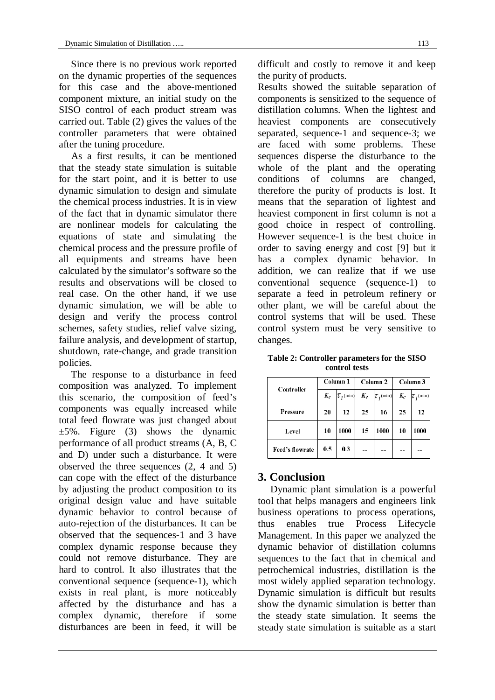Since there is no previous work reported on the dynamic properties of the sequences for this case and the above-mentioned component mixture, an initial study on the SISO control of each product stream was carried out. Table (2) gives the values of the controller parameters that were obtained after the tuning procedure.

As a first results, it can be mentioned that the steady state simulation is suitable for the start point, and it is better to use dynamic simulation to design and simulate the chemical process industries. It is in view of the fact that in dynamic simulator there are nonlinear models for calculating the equations of state and simulating the chemical process and the pressure profile of all equipments and streams have been calculated by the simulator's software so the results and observations will be closed to real case. On the other hand, if we use dynamic simulation, we will be able to design and verify the process control schemes, safety studies, relief valve sizing, failure analysis, and development of startup, shutdown, rate-change, and grade transition policies.

The response to a disturbance in feed composition was analyzed. To implement this scenario, the composition of feed's components was equally increased while total feed flowrate was just changed about  $\pm 5\%$ . Figure (3) shows the dynamic performance of all product streams (A, B, C and D) under such a disturbance. It were observed the three sequences (2, 4 and 5) can cope with the effect of the disturbance by adjusting the product composition to its original design value and have suitable dynamic behavior to control because of auto-rejection of the disturbances. It can be observed that the sequences-1 and 3 have complex dynamic response because they could not remove disturbance. They are hard to control. It also illustrates that the conventional sequence (sequence-1), which exists in real plant, is more noticeably affected by the disturbance and has a complex dynamic, therefore if some disturbances are been in feed, it will be

difficult and costly to remove it and keep the purity of products.

Results showed the suitable separation of components is sensitized to the sequence of distillation columns. When the lightest and heaviest components are consecutively separated, sequence-1 and sequence-3; we are faced with some problems. These sequences disperse the disturbance to the whole of the plant and the operating conditions of columns are changed, therefore the purity of products is lost. It means that the separation of lightest and heaviest component in first column is not a good choice in respect of controlling. However sequence-1 is the best choice in order to saving energy and cost [9] but it has a complex dynamic behavior. In addition, we can realize that if we use conventional sequence (sequence-1) to separate a feed in petroleum refinery or other plant, we will be careful about the control systems that will be used. These control system must be very sensitive to changes.

**Table 2: Controller parameters for the SISO control tests**

| Controller      | Column <sub>1</sub> |                  | Column <sub>2</sub> |                    | Column 3 |                      |
|-----------------|---------------------|------------------|---------------------|--------------------|----------|----------------------|
|                 | $K_c$               | $\tau_{I}$ (min) | $K_c$               | $ \tau_{I}(\min) $ | $K_c$    | $\tau_{\rm r}$ (min) |
| Pressure        | 20                  | 12               | 25                  | 16                 | 25       | 12                   |
| Level           | 10                  | 1000             | 15                  | 1000               | 10       | 1000                 |
| Feed's flowrate | 0.5                 | 0.3              |                     |                    |          |                      |

# **3. Conclusion**

Dynamic plant simulation is a powerful tool that helps managers and engineers link business operations to process operations, thus enables true Process Lifecycle Management. In this paper we analyzed the dynamic behavior of distillation columns sequences to the fact that in chemical and petrochemical industries, distillation is the most widely applied separation technology. Dynamic simulation is difficult but results show the dynamic simulation is better than the steady state simulation. It seems the steady state simulation is suitable as a start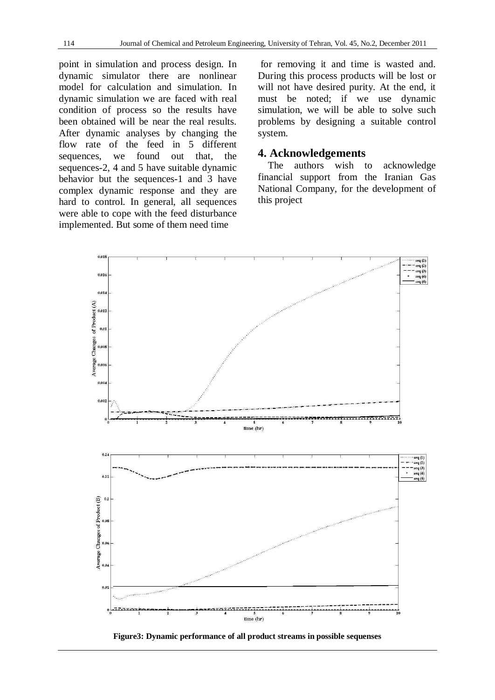point in simulation and process design. In dynamic simulator there are nonlinear model for calculation and simulation. In dynamic simulation we are faced with real condition of process so the results have been obtained will be near the real results. After dynamic analyses by changing the flow rate of the feed in 5 different sequences, we found out that, the sequences-2, 4 and 5 have suitable dynamic behavior but the sequences-1 and 3 have complex dynamic response and they are hard to control. In general, all sequences were able to cope with the feed disturbance implemented. But some of them need time

for removing it and time is wasted and. During this process products will be lost or will not have desired purity. At the end, it must be noted; if we use dynamic simulation, we will be able to solve such problems by designing a suitable control system.

### **4. Acknowledgements**

The authors wish to acknowledge financial support from the Iranian Gas National Company, for the development of this project



**Figure3: Dynamic performance of all product streams in possible sequenses**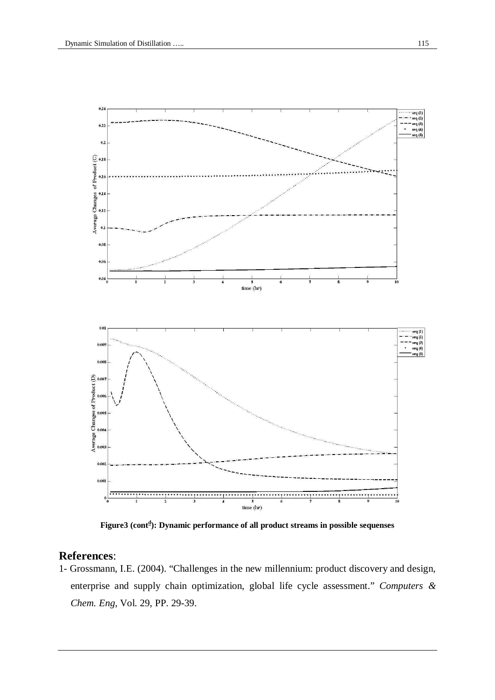

**Figure3 (cont d ): Dynamic performance of all product streams in possible sequenses**

## **References**:

1- Grossmann, I.E. (2004). "Challenges in the new millennium: product discovery and design, enterprise and supply chain optimization, global life cycle assessment." *Computers & Chem. Eng,* Vol. 29, PP. 29-39.